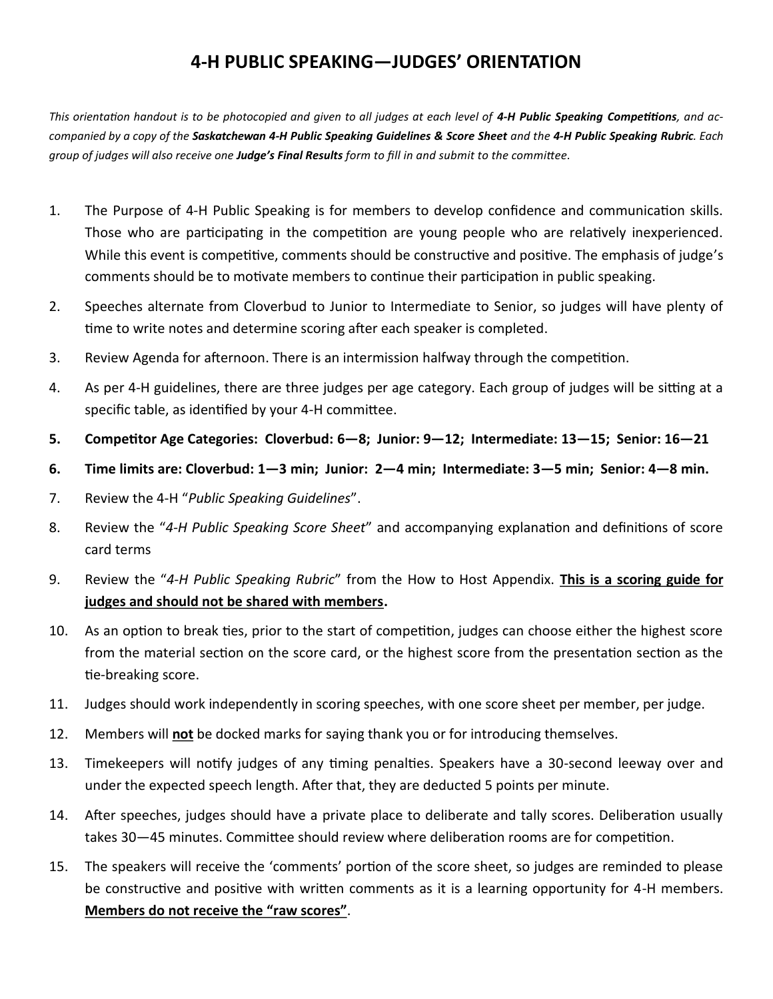## **4-H PUBLIC SPEAKING—JUDGES' ORIENTATION**

This orientation handout is to be photocopied and given to all judges at each level of 4-H Public Speaking Competitions, and ac*companied by a copy of the Saskatchewan 4-H Public Speaking Guidelines & Score Sheet and the 4-H Public Speaking Rubric. Each group of judges will also receive one Judge's Final Results form to fill in and submit to the committee.*

- 1. The Purpose of 4-H Public Speaking is for members to develop confidence and communication skills. Those who are participating in the competition are young people who are relatively inexperienced. While this event is competitive, comments should be constructive and positive. The emphasis of judge's comments should be to motivate members to continue their participation in public speaking.
- 2. Speeches alternate from Cloverbud to Junior to Intermediate to Senior, so judges will have plenty of time to write notes and determine scoring after each speaker is completed.
- 3. Review Agenda for afternoon. There is an intermission halfway through the competition.
- 4. As per 4-H guidelines, there are three judges per age category. Each group of judges will be sitting at a specific table, as identified by your 4-H committee.
- **5. Competitor Age Categories: Cloverbud: 6—8; Junior: 9—12; Intermediate: 13—15; Senior: 16—21**
- **6. Time limits are: Cloverbud: 1—3 min; Junior: 2—4 min; Intermediate: 3—5 min; Senior: 4—8 min.**
- 7. Review the 4-H "*Public Speaking Guidelines*".
- 8. Review the "*4-H Public Speaking Score Sheet*" and accompanying explanation and definitions of score card terms
- 9. Review the "*4-H Public Speaking Rubric*" from the How to Host Appendix. **This is a scoring guide for judges and should not be shared with members.**
- 10. As an option to break ties, prior to the start of competition, judges can choose either the highest score from the material section on the score card, or the highest score from the presentation section as the tie-breaking score.
- 11. Judges should work independently in scoring speeches, with one score sheet per member, per judge.
- 12. Members will **not** be docked marks for saying thank you or for introducing themselves.
- 13. Timekeepers will notify judges of any timing penalties. Speakers have a 30-second leeway over and under the expected speech length. After that, they are deducted 5 points per minute.
- 14. After speeches, judges should have a private place to deliberate and tally scores. Deliberation usually takes 30—45 minutes. Committee should review where deliberation rooms are for competition.
- 15. The speakers will receive the 'comments' portion of the score sheet, so judges are reminded to please be constructive and positive with written comments as it is a learning opportunity for 4-H members. **Members do not receive the "raw scores"**.